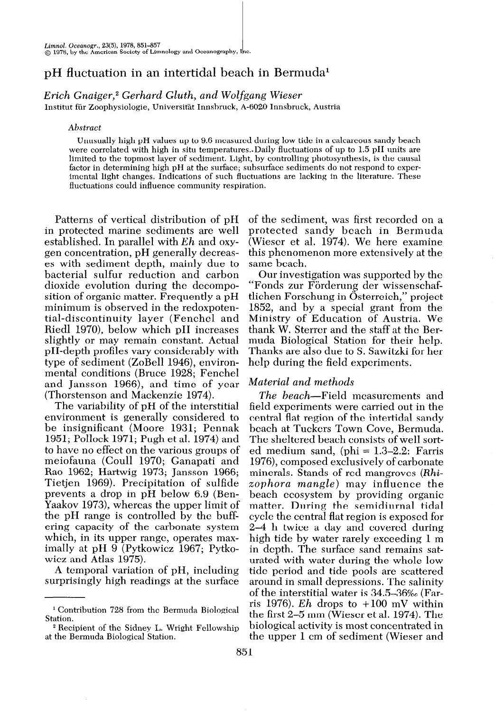# pH fluctuation in an intertidal beach in Bermuda<sup>1</sup>

Erich Gnaiger,2 Gerhard Gluth, and Wolfgang Wieser

Institut für Zoophysiologie, Universität Innsbruck, A-6020 Innsbruck, Austria

#### Abstract

Unusually high pH values up to 9.6 measured during low tide in a calcareous sandy beach were correlated with high in situ temperatures..Daily fluctuations of up to 1.5 pI1 units are limited to the topmost layer of sediment. Light, by controlling photosynthesis, is the causal factor in determining high pH at the surface; subsurface sediments do not respond to experimental light changes. Indications of such fluctuations are lacking in the literature. These fluctuations could influence community respiration.

Patterns of vertical distribution of pH in protected marine sediments are well established. In parallel with Eh and oxygen concentration, pH generally decreases with sediment depth, mainly due to bacterial sulfur reduction and carbon dioxide evolution during the decomposition of organic matter. Frequently a pH minimum is observed in the redoxpotential-discontinuity layer (Fenchel and Riedl 1970), below which pI1 increases slightly or may remain constant. Actual pH-depth profiles vary considerably with type of sediment (ZoBell 1946), environmental conditions (Bruce 1928; Fenchel and Jansson 1966), and time of year (Thorstenson and Mackenzie 1974).

The variability of pH of the interstitial environment is generally considered to be insignificant (Moore 1931; Pennak 1951; Pollock 1971; Pugh et al. 1974) and to have no effect on the various groups of meiofauna (Coull 1970; Ganapati and Rao 1962; Hartwig 1973; Jansson 1966; Tietjen 1969). Precipitation of sulfide prevents a drop in pH below 6.9 (Ben-Yaakov 1973), whereas the upper limit of the pH range is controlled by the buffering capacity of the carbonate system which, in its upper range, operates maximally at pH 9 (Pytkowicz 1967; Pytkowicz and Atlas 1975).

A temporal variation of pH, including surprisingly high readings at the surface of the sediment, was first recorded on a protected sandy beach in Bermuda (Wiescr et al. 1974). We here examine this phenomenon more extensively at the same beach.

Our investigation was supported by the "Fonds zur Förderung der wissenschaftlichen Forschung in Osterreich," project 1852, and by a special grant from the Ministry of Education of Austria. We thank W. Sterrcr and the staff at the Bermuda Biological Station for their help. Thanks are also due to S. Sawitzki for her help during the field experiments.

#### Material and methods

The beach-Field measurements and field experiments were carried out in the central flat region of the intertidal sandy beach at Tuckers Town Cove, Bermuda. The sheltered beach consists of well sorted medium sand,  $(\text{phi} = 1.3-2.2:$  Farris 1976), composed exclusively of carbonate minerals. Stands of red mangroves (Rhixophora mangle) may influence the beach ecosystem by providing organic matter. During the semidiurnal tidal cycle the central flat region is exposed for 2-4 h twice a day and covered during high tide by water rarely exceeding I m in depth. The surface sand remains saturated with water during the whole low tide period and tide pools are scattered around in small depressions. The salinity of the interstitial water is  $34.5-36%$  (Farris 1976). Eh drops to  $+100$  mV within the first 2-5 mm (Wiescr et al. 1974). The biological activity is most concentrated in the upper 1 cm of sediment (Wieser and

l Contribution 728 from the Bermuda Biological Station.

<sup>2</sup> Recipient of the Sidney L. Wright Fellowship at the Bermuda Biological Station.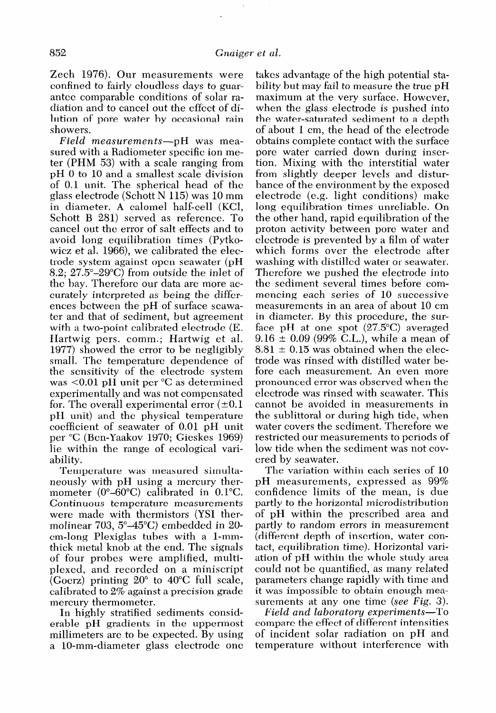Zech 1976). Our measurements were confined to fairly cloudless days to guarantee comparable conditions of solar radiation and to cancel out the effect of dilution of pore water by occasional rain showers.

Field measurements--pH was measured with a Radiometer specific ion meter (PHM 53) with a scale ranging from pH 0 to 10 and a smallest scale division of 0.1 unit. The spherical head of the glass electrode (Schott N 115) was 10 mm in diameter. A calomel half-cell (KCl, Schott B 281) served as reference. To cancel out the error of salt effects and to avoid long equilibration times (Pytkowicz et al. 1966), we calibrated the electrode system against open seawater (pH 8.2;  $27.5^{\circ}$ -29 $^{\circ}$ C) from outside the inlet of the bay. Therefore our data are more accurately interpreted as being the differences between the pH of surface seawater and that of sediment, but agreement with a two-point calibrated electrode (E. Hartwig pers. comm.; Hartwig et al. 1977) showed the error to be negligibly small. The temperature dependence of the sensitivity of the electrode system was <O.Ol pH unit per "C as determined experimentally and was not compensated for. The overall experimental error  $(\pm 0.1)$ pH unit) and the physical temperature coefficient of seawater of 0.01 pH unit per "C (Ben-Yaakov 1970; Gieskes 1969) lie within the range of ecological variability.

Temperature was measured simultaneously with pH using a mercury thermometer ( $0^{\circ}$ -60 $^{\circ}$ C) calibrated in 0.1 $^{\circ}$ C. Continuous temperature measurements were made with thermistors (YSI thermolinear 703,  $5^{\circ}$ -45 $^{\circ}$ C) embedded in 20cm-long Plexiglas tubes with a l-mmthick metal knob at the end. The signals of four probes were amplified, multiplexed, and recorded on a miniscript (Goerz) printing  $20^{\circ}$  to  $40^{\circ}$ C full scale, calibrated to 2% against a precision grade mercury thermometer.

In highly stratified sediments considerable pH gradients in the uppermost millimeters are to be expected. By using a IO-mm-diameter glass electrode one

takes advantage of the high potential stability but may fail to measure the true pH maximum at the very surface. However, when the glass electrode is pushed into the water-saturated sediment to a depth of about 1 cm, the head of the electrode obtains complete contact with the surface pore water carried down during inscrtion. Mixing with the interstitial water from slightly deeper levels and disturbance of the environment by the exposed electrode (e.g. light conditions) make long equilibration times unreliable. On the other hand, rapid equilibration of the proton activity between pore water and electrode is prevented by a film of water which forms over the electrode after washing with distilled water or seawater. Therefore we pushed the electrode into the sediment several times before commencing each series of 10 successive measurements in an area of about 10 cm in diameter. By this procedure, the surface pH at one spot  $(27.5^{\circ}C)$  averaged  $9.16 \pm 0.09$  (99% C.L.), while a mean of  $8.81 \pm 0.15$  was obtained when the electrode was rinsed with distilled water before each measurement. An even more pronounced error was observed when the electrode was rinsed with seawater. This cannot be avoided in measurements in the sublittoral or during high tide, when water covers the sediment. Therefore we restricted our measurements to periods of low tide when the sediment was not covered by seawater.

The variation within each series of 10 pH measurements, expressed as 99% confidence limits of the mean, is due partly to the horizontal microdistribution of pH within the prescribed area and partly to random errors in measurement (different depth of insertion, water contact, equilibration time). Horizontal variation of pH within the whole study area could not be quantified, as many related parameters change rapidly with time and it was impossible to obtain enough measurements at any one time (see Fig. 3).

Field and laboratory experiments—To compare the effect of different intensities of incident solar radiation on pH and temperature without interference with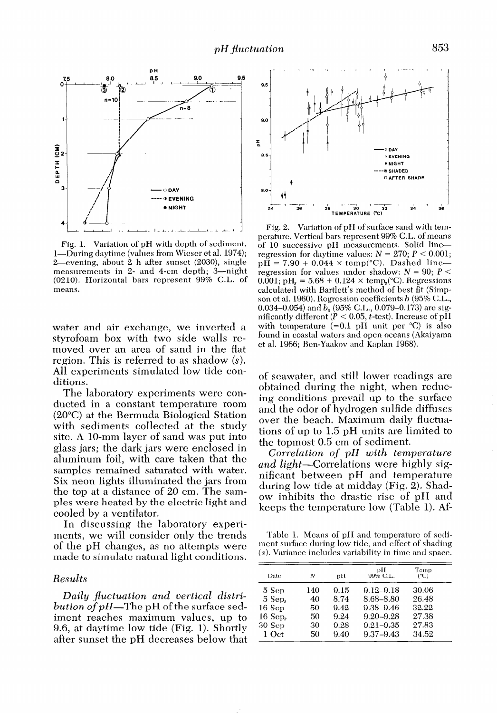

Fig. 1. Variation of pH with depth of sediment. 1—During daytime (values from Wieser et al. 1974); 2—evening, about 2 h after sunset (2030), single measurements in 2- and 4-cm depth; 3-night (0210). Horizontal bars represent 99% C.L. of means.

water and air exchange, we inverted a styrofoam box with two side walls removed over an area of sand in the flat region. This is referred to as shadow (s). All experiments simulated low tide conditions.

The laboratory experiments were conducted in a constant temperature room  $(20^{\circ}C)$  at the Bermuda Biological Station with sediments collected at the study site. A 10-mm layer of sand was put into glass jars; the dark jars were enclosed in aluminum foil, with care taken that the samples remained saturated with water. Six neon lights illuminated the jars from the top at a distance of 20 cm. The samples were heated by the electric light and cooled by a ventilator.

In discussing the laboratory experiments, we will consider only the trends of the pH changes, as no attempts were made to simulate natural light conditions.

# Results

Daily fluctuation and vertical distribution of pH-The pH of the surface sediment reaches maximum values, up to 9.6, at daytime low tide (Fig. 1). Shortly after sunset the pH decreases below that



Variation of pH of surface sand with tem-Fig. 2. perature. Vertical bars represent 99% C.L. of means of 10 successive pH measurements. Solid lineregression for daytime values:  $N = 270$ ;  $P < 0.001$ ;  $p\tilde{H} = 7.90 + 0.044 \times temp$  (°C). Dashed lineregression for values under shadow:  $N = 90$ ;  $P <$  $0.001$ ; pH<sub>s</sub> = 5.68 + 0.124 × temp. (°C). Regressions calculated with Bartlett's method of best fit (Simpson et al. 1960). Regression coefficients  $b$  (95% C.L., 0.034–0.054) and  $b_s$  (95% C.L., 0.079–0.173) are significantly different  $(P < 0.05, t$ -test). Increase of pH with temperature  $(=0.1 \text{ pH} \cdot \text{unit per } ^\circ\text{C})$  is also found in coastal waters and open oceans (Akaiyama et al. 1966; Ben-Yaakov and Kaplan 1968).

of seawater, and still lower readings are obtained during the night, when reducing conditions prevail up to the surface and the odor of hydrogen sulfide diffuses over the beach. Maximum daily fluctuations of up to 1.5 pH units are limited to the topmost 0.5 cm of sediment.

Correlation of pII with temperature *and light*—Correlations were highly significant between pH and temperature during low tide at midday (Fig. 2). Shadow inhibits the drastic rise of pH and keeps the temperature low (Table 1). Af-

Table 1. Means of pH and temperature of sediment surface during low tide, and effect of shading  $(s)$ . Variance includes variability in time and space.

| Date   | Ν   | рĦ   | .pH<br>99% C.L. | Temp<br>(°C) |
|--------|-----|------|-----------------|--------------|
| 5Sep   | 140 | 9.15 | $9.12 - 9.18$   | 30.06        |
| 5Sep.  | 40  | 8.74 | 8.68-8.80       | 26.48        |
| 16Sep  | 50  | 9.42 | $9.38 - 9.46$   | 32.22        |
| 16Sep. | 50  | 9.24 | $9.20 - 9.28$   | 27.38        |
| 30 Sep | 30  | 9.28 | $9.21 - 9.35$   | 27.83        |
| 1 Oct  | 50  | 9.40 | $9.37 - 9.43$   | 34.52        |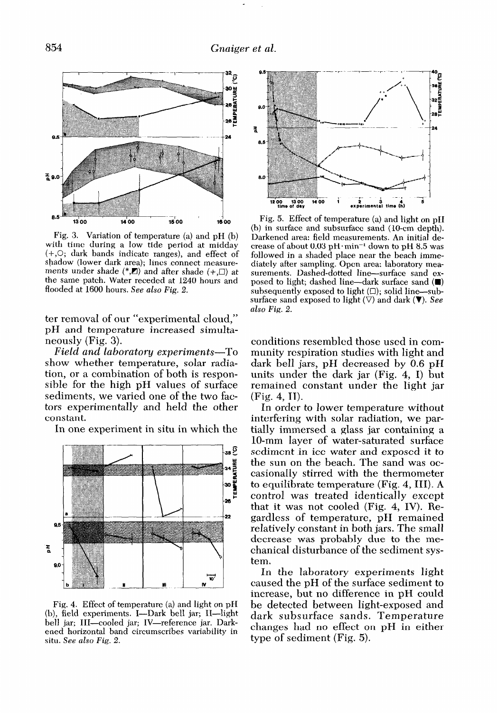

Fig. 3. Variation of temperature (a) and pH (b) with time during a low tide period at midday  $(+, \circ)$ ; dark bands indicate ranges), and effect of shadow (lower dark area); lines connect measurements under shade  $(*, \mathbb{Z})$  and after shade  $(+, \square)$  at the same patch. Water receded at 1240 hours and flooded at 1600 hours. See also Fig. 2.

ter removal of our "experimental cloud," pH and temperature increased simultaneously (Fig. 3).

Field and laboratory experiments-To show whether temperature, solar radiation, or a combination of both is responsible for the high pH values of surface sediments, we varied one of the two factors experimentally and held the other constant.

In one experiment in situ in which the



 $F: 4. Eif(x) \in \mathcal{C}_1$  of the pH  $\{x, y\}$  on  $\{x, y\}$  $\begin{bmatrix} 1 & 0 & 1 \end{bmatrix}$ , field experiment below the light below  $\begin{bmatrix} a & b & d \end{bmatrix}$  $(b)$ , field experiments. I—Dark bell jar; II—light bell jar; III-cooled jar; IV-reference jar. Darkened horizontal band circumscribes variability in situ. See also Fig. 2.



Fig. 5. Effect of temperature (a) and light on pI1 (b) in surface and subsurface sand (IO-cm depth). Darkened area: field measurements. An initial decrease of about 0.03 pH $\cdot$ min<sup>-1</sup> down to pH 8.5 was followed in a shaded place near the beach immediately after sampling. Open area: laboratory measurements. Dashed-dotted line-surface sand exposed to light; dashed line-dark surface sand  $(\blacksquare)$ subsequently exposed to light  $(\square)$ ; solid line-subsurface sand exposed to light  $(\nabla)$  and dark  $(\nabla)$ . See also Fig. 2.

conditions resembled those used in community respiration studies with light and dark bell jars, pH decreased by 0.6 pH units under the dark jar (Fig. 4, I) but remained constant under the light jar (Fig. 4, 11).

In order to lower temperature without interfering with solar radiation, we partially immersed a glass jar containing a lo-mm layer of water-saturated surface sediment in ice water and exposed it to the sun on the beach. The sand was occasionally stirred with the thermometer to equilibrate temperature (Fig. 4, III). A control was treated identically except that it was not cooled (Fig. 4, IV). Regardless of temperature, pI1 remained relatively constant in both jars. The small decrease was probably due to the mechanical disturbance of the sediment system.

In the laboratory experiments light caused the pH of the surface sediment to increase, but no difference in pH could be detected between light-exposed and dark subsurface sands. Temperature changes had no effect on pH in either type of sediment (Fig. 5).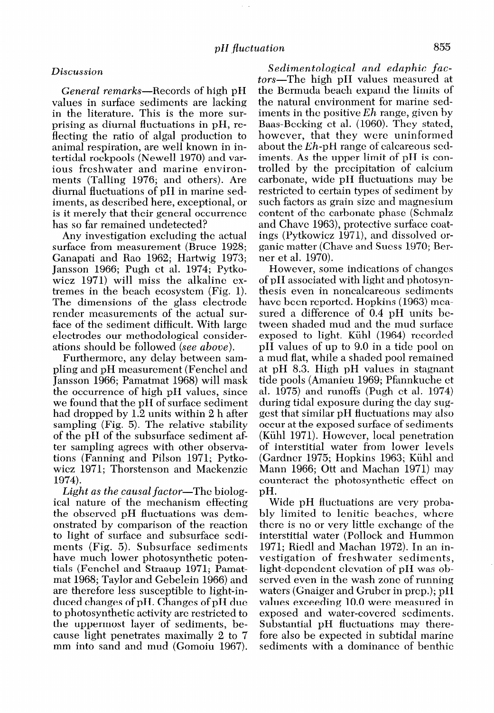### Discussion

General remarks—Records of high pH values in surface sediments are lacking in the literature. This is the more surprising as diurnal fluctuations in pH, reflecting the ratio of algal production to animal respiration, are well known in intertidal rockpools (Newell 1970) and various freshwater and marine environments (Talling 1976; and others). Are diurnal fluctuations of pI1 in marine sediments, as described here, exceptional, or is it merely that their general occurrence has so far remained undetected?

Any investigation excluding the actual surface from measurement (Bruce 1928; Ganapati and Rao 1962; IIartwig 1973; Jansson 1966; Pugh ct al. 1974; Pytkowicz 1971) will miss the alkaline cxtremes in the beach ecosystem (Fig. 1). The dimensions of the glass electrode render mcasurcmcnts of the actual surface of the sediment difficult. With large electrodes our methodological considerations should be followed (see above).

Furthermore, any delay between sampling and pH measurement (Fenchcl and Jansson 1966; Pamatmat 1968) will mask the occurrence of high pH values, since we found that the pII of surface sediment had dropped by 1.2 units within 2 h after  $\max_{\text{max}} \text{supp}(\mathbf{u}|\mathbf{v})$ . The relative stability sampling (Fig. 5). The relative stability<br>of the pH of the subsurface sediment after sampling agrees with other observations (Fanning and Pilson 1971; Pytkowicz  $\frac{1971}{12}$  Thorstenson 1971, Tytw WICZ..<br>1074). 714).<br>Tile as the causal factor

 $\frac{1}{2}$  Light as the causal factor  $\frac{1}{2}$  inc biolog ical nature of the mechanism effecting the observed pH fluctuations was demonstrated by comparison of the reaction to light of surface and subsurface sediments (Fig. 5). Subsurface sediments have much lower photosynthetic potentials (Fenchel and Straaup 1971; Pamatmat 1968; Taylor and Gebelein 1966) and are therefore less susceptible to light-induced changes of pH. Changes of pH due to photosynthetic activity are restricted to the uppermost layer of sediments, bemm into sand and mud (Gomoiu 1967).

Sedimentological and edaphic factors—The high pH values measured at the Bermuda beach expand the limits of the natural environment for marine sediments in the positive  $Eh$  range, given by Baas-Becking et al. (1960). They stated, however, that they were uninformed about the Eh-pH range of calcareous scdiments. As the upper limit of pH is controlled by the precipitation of calcium carbonate, wide pII fluctuations may be restricted to certain types of sediment by such factors as grain size and magnesium content of the carbonate phase (Schmalz and Chavc 1963), protective surface coatings (Pytkowicz 1971), and dissolved organic matter (Chave and Sucss 1970; Berner et al. 1970).

However, some indications of changes of pII associated with light and photosynthesis even in noncalcareous sediments have been reported. Hopkins (1963) measured a difference of 0.4 pH units bctween shaded mud and the mud surface exposed to light. Kiihl (1964) recorded pII values of up to 9.0 in a tide pool on a mud flat, while a shaded pool remained at pH 8.3. High pH values in stagnant tide pools (Amanieu 1969; Pfannkuche ct al. 1975) and runoffs (Pugh et al. 1974) during tidal exposure during the day suggest that similar pH fluctuations may also occur at the exposed surface of sediments  $(K<sub>u</sub>th<sup>1</sup> 1971)$ . However, local penetration of interstitial water from lower levels (Gardner 1975; Hopkins 1963; Kiihl and  $\mathcal{M} = 1000, \ \Omega_{\text{tot}} = 1 \ \text{M} = 1000, \ \Omega_{\text{tot}}$  $\frac{1}{2}$  and  $\frac{1}{2}$  the photosynthetic effect on  $\frac{1}{2}$  or  $\frac{1}{2}$  or  $\frac{1}{2}$  or  $\frac{1}{2}$  or  $\frac{1}{2}$  or  $\frac{1}{2}$  or  $\frac{1}{2}$  or  $\frac{1}{2}$  or  $\frac{1}{2}$  or  $\frac{1}{2}$  or  $\frac{1}{2}$  or  $\frac{1}{2}$  or  $\frac{1}{2}$  or counteract the photosynthetic effect on pH. 1.<br>With fluctuations are very proba-

bly limited to lead to lead the length of the length of the length of the length of the length of the length of bly limited to lenitic beaches, where there is no or very little exchange of the interstitial water (Pollock and Hummon 1971; Riedl and Machan 1972). In an investigation of freshwater sediments, light-dependent elevation of pH was observed even in the wash zone of running waters (Gnaiger and Gruber in prep.); pH values exceeding 10.0 were measured in exposed and water-covered sediments. Substantial pH fluctuations may therefore also be expected in subtidal marine<br>sediments with a dominance of benthic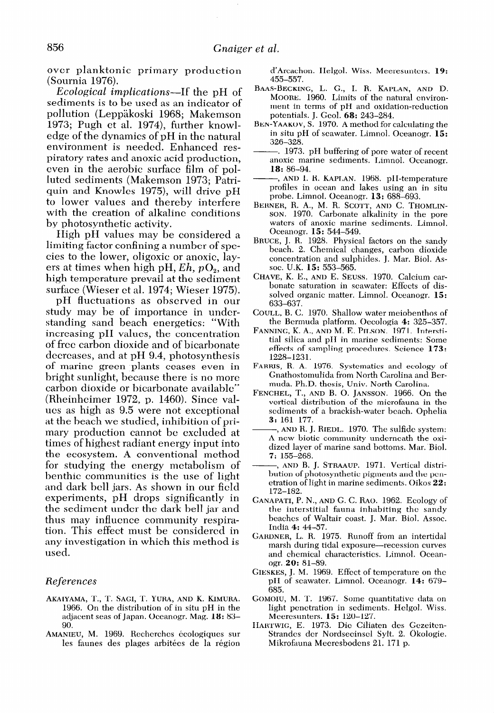over planktonic primary production (Sournia 1976).

Ecological *implications*—If the pH of sediments is to be used as an indicator of pollution (Leppikoski 1968; Makemson 1973; Pugh et al. 1974), further knowledge of the dynamics of pH in the natural environment is needed. Enhanced respiratory rates and anoxic acid production, even in the aerobic surface film of polluted sediments (Makemson 1973; Patriquin and Knowles 1975), will drive pH to lower values and thereby interfere with the creation of alkaline conditions by photosynthetic activity.

IIigh pH values may be considered a limiting factor confining a number of species to the lower, oligoxic or anoxic, layers at times when high pH,  $Eh$ ,  $pO<sub>2</sub>$ , and high temperature prevail at the sediment surface (Wieser ct al. 1974; Wieser 1975).

pH fluctuations as observed in our study may be of importance in understanding sand beach energetics: "With increasing pH values, the concentration of free carbon dioxide and of bicarbonate decreases, and at pH 9.4, photosynthesis of marine green plants ceases even in bright sunlight, because there is no more carbon dioxide or bicarbonate available" (Rheinheimer 1972, p. 1460). Since valucs as high as 9.5 were not exceptional at the beach we studied, inhibition of primary production cannot bc excluded at times of highest radiant energy input into the ecosystem. A conventional method for studying the energy metabolism of benthic communities is the use of light and dark bell jars. As shown in our field experiments, pH drops significantly in the sediment under the dark bell jar and thus may influence community respiration. This effect must be considered in any investigation in which this method is used.

# References

- AKAIYAMA, T., T. SAGI, T. YURA, AND K. KIMURA. 1966. On the distribution of in situ pH in the adjacent seas of Japan. Oceanogr. Mag. 18: 83- 90.
- AMANIEU, M. 1969. Recherches écologiques sur les faunes des plages arbitées de la région

d'Arcachon. Helgol. Wiss. Meeresuntcrs. 19: 455-557.

- BAAS-BECKING, L. G., I. R. KAPLAN, AND D. MOORE. 1960. Limits of the natural cnvironmerit in terms of pH and oxidation-reduction potentials. J. Geol. 68: 243-284.
- BEN-YAAKOV, S. 1970. A method for calculating the in situ pH of seawater. Limnol. Oceanogr. 15: 326-328.
- -. 1973. pH buffering of pore water of recent anoxic marine sediments. 1,imnol. Oceanogr. 18: 86-94.
- -, AND I. R. KAPLAN. 1968. pH-temperature profiles in ocean and lakes using an in situ probe. Limnol. Oceanogr. 13: 688-693.
- BERNER, R. A., M. R. SCOTT, AND C. THOMLIN-SON. 1970. Carbonate alkalinity in the pore waters of anoxic marine sediments. Limnol. Oceanogr. 15: 544-549.
- BRUCE, J. R. 1928. Physical factors on the sandy beach. 2. Chemical changes, carbon dioxide concentration and sulphides. J. Mar. Biol. Assoc. U.K. 15: 553-565.
- CHAVE, K. E., AND E. SEUSS. 1970. Calcium carbonate saturation in seawater: Effects of dissolved organic matter. Limnol. Oceanogr. 15: 633-637.
- COULL, B. C. 1970. Shallow water meiobenthos of the Bermuda platform. Oecologia 4: 325-357.
- FANNING, K. A., ANI) M. E. PILSON. 1971. Interstitial silica and pII in marine sediments: Some effects of sampling procedures. Science 173: 1228-1231.
- FARRIS, R. A. 1976. Systematics and ecology of Gnathostomulida from North Carolina and Bermuda. Ph.D. thesis, Univ. North Carolina.
- FENCHEL, T., AND B. O. JANSSON. 1966. On the vertical distribution of the microfauna in the sediments of a brackish-water beach. Ophelia 3: 161-177.
- -, AND R. J. RIEDL. 1970. The sulfide system: A new biotic community underneath the oxidized layer of marine sand bottoms. Mar. Biol. 7: 155-268.
- -3 AND B. J. STRAAUP. 1971. Vertical distribution of photosynthetic pigments and the pcnetration of light in marine sediments. Oikos 22: 172-182.
- GANAPATI, P. N., AND G. C. RAO. 1962. Ecology of the interstitial fauna inhabiting the sandy beaches of Waltair coast. J. Mar. Biol. Assoc. India 4: 44-57.
- GARDNER, L. R. 1975. Runoff from an intertidal marsh during tidal exposure-recession curves and chemical characteristics. Limnol. Oceanogr. 20: 81-89.
- GIESKES, J. M. 1969. Effect of temperature on the pII of seawater. Limnol. Oceanogr. 14: 679- 685.
- GOMOIU, M. T. 1967. Some quantitative data on light penetration in scdimcnts. Helgol. Wiss. Meereslmters. 15: 120-127.
- IIAR'I'WIG, E. 1973. Die Ciliaten des Gczeitcn-Strandcs dcr Nordsecinsel Sylt. 2. Okologie. Mikrofauna Meercsbodcns 21. 171 p.